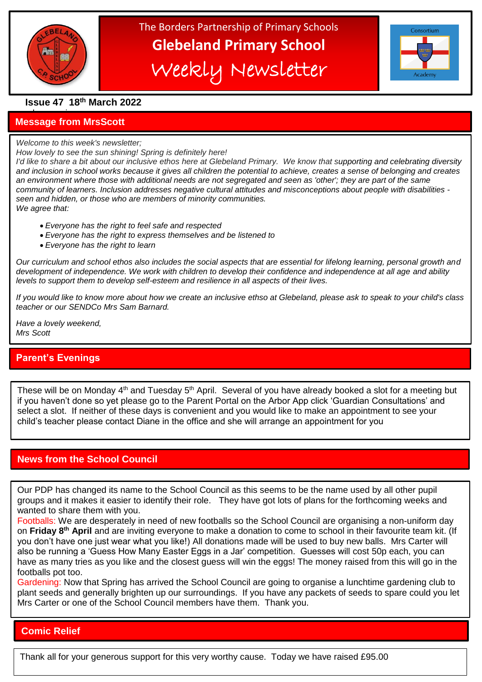

֦

# The Borders Partnership of Primary Schools **Glebeland Primary School** Weekly Newsletter

| Consortium |
|------------|
|            |
|            |
| Academy    |

**Issue 47 18th March 2022**

### a bumper issues in the second second in the second second in the second second in the second second in the second second in the second second in the second second second in the second second second second second second sec **Message from MrsScott**

*Welcome to this week's newsletter;*

### *How lovely to see the sun shining! Spring is definitely here!*

*I'd like to share a bit about our inclusive ethos here at Glebeland Primary. We know that supporting and celebrating diversity and inclusion in school works because it gives all children the potential to achieve, creates a sense of belonging and creates an environment where those with additional needs are not segregated and seen as 'other'; they are part of the same community of learners. Inclusion addresses negative cultural attitudes and misconceptions about people with disabilities seen and hidden, or those who are members of minority communities. We agree that:*

- *Everyone has the right to feel safe and respected*
- *Everyone has the right to express themselves and be listened to*
- *Everyone has the right to learn*

*Our curriculum and school ethos also includes the social aspects that are essential for lifelong learning, personal growth and development of independence. We work with children to develop their confidence and independence at all age and ability levels to support them to develop self-esteem and resilience in all aspects of their lives.*

*If you would like to know more about how we create an inclusive ethso at Glebeland, please ask to speak to your child's class teacher or our SENDCo Mrs Sam Barnard.*

*Have a lovely weekend, Mrs Scott*

# **Parent's Evenings**

These will be on Monday 4<sup>th</sup> and Tuesday 5<sup>th</sup> April. Several of you have already booked a slot for a meeting but if you haven't done so yet please go to the Parent Portal on the Arbor App click 'Guardian Consultations' and select a slot. If neither of these days is convenient and you would like to make an appointment to see your child's teacher please contact Diane in the office and she will arrange an appointment for you

# **News from the School Council**

Our PDP has changed its name to the School Council as this seems to be the name used by all other pupil groups and it makes it easier to identify their role. They have got lots of plans for the forthcoming weeks and wanted to share them with you.

Footballs: We are desperately in need of new footballs so the School Council are organising a non-uniform day on **Friday 8th April** and are inviting everyone to make a donation to come to school in their favourite team kit. (If you don't have one just wear what you like!) All donations made will be used to buy new balls. Mrs Carter will also be running a 'Guess How Many Easter Eggs in a Jar' competition. Guesses will cost 50p each, you can have as many tries as you like and the closest guess will win the eggs! The money raised from this will go in the footballs pot too.

Gardening: Now that Spring has arrived the School Council are going to organise a lunchtime gardening club to plant seeds and generally brighten up our surroundings. If you have any packets of seeds to spare could you let Mrs Carter or one of the School Council members have them. Thank you.

# **Comic Relief**

Thank all for your generous support for this very worthy cause. Today we have raised £95.00